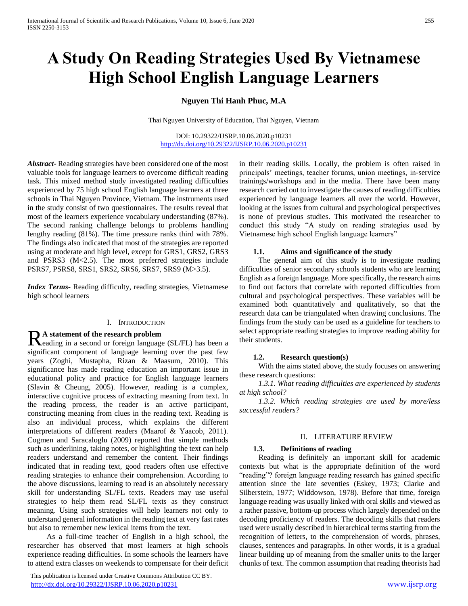# **A Study On Reading Strategies Used By Vietnamese High School English Language Learners**

**Nguyen Thi Hanh Phuc, M.A**

Thai Nguyen University of Education, Thai Nguyen, Vietnam

DOI: 10.29322/IJSRP.10.06.2020.p10231 <http://dx.doi.org/10.29322/IJSRP.10.06.2020.p10231>

*Abstract***-** Reading strategies have been considered one of the most valuable tools for language learners to overcome difficult reading task. This mixed method study investigated reading difficulties experienced by 75 high school English language learners at three schools in Thai Nguyen Province, Vietnam. The instruments used in the study consist of two questionnaires. The results reveal that most of the learners experience vocabulary understanding (87%). The second ranking challenge belongs to problems handling lengthy reading (81%). The time pressure ranks third with 78%. The findings also indicated that most of the strategies are reported using at moderate and high level, except for GRS1, GRS2, GRS3 and PSRS3 (M<2.5). The most preferred strategies include PSRS7, PSRS8, SRS1, SRS2, SRS6, SRS7, SRS9 (M>3.5).

*Index Terms*- Reading difficulty, reading strategies, Vietnamese high school learners

#### I. INTRODUCTION

#### **A statement of the research problem**

Reading in a second or foreign language (SL/FL) has been a calculation of foreign language (SL/FL) has been a significant component of language learning over the past few years (Zoghi, Mustapha, Rizan & Maasum, 2010). This significance has made reading education an important issue in educational policy and practice for English language learners (Slavin & Cheung, 2005). However, reading is a complex, interactive cognitive process of extracting meaning from text. In the reading process, the reader is an active participant, constructing meaning from clues in the reading text. Reading is also an individual process, which explains the different interpretations of different readers (Maarof & Yaacob, 2011). Cogmen and Saracaloglu (2009) reported that simple methods such as underlining, taking notes, or highlighting the text can help readers understand and remember the content. Their findings indicated that in reading text, good readers often use effective reading strategies to enhance their comprehension. According to the above discussions, learning to read is an absolutely necessary skill for understanding SL/FL texts. Readers may use useful strategies to help them read SL/FL texts as they construct meaning. Using such strategies will help learners not only to understand general information in the reading text at very fast rates but also to remember new lexical items from the text.

 As a full-time teacher of English in a high school, the researcher has observed that most learners at high schools experience reading difficulties. In some schools the learners have to attend extra classes on weekends to compensate for their deficit

 This publication is licensed under Creative Commons Attribution CC BY. <http://dx.doi.org/10.29322/IJSRP.10.06.2020.p10231> [www.ijsrp.org](http://ijsrp.org/)

in their reading skills. Locally, the problem is often raised in principals' meetings, teacher forums, union meetings, in-service trainings/workshops and in the media. There have been many research carried out to investigate the causes of reading difficulties experienced by language learners all over the world. However, looking at the issues from cultural and psychological perspectives is none of previous studies. This motivated the researcher to conduct this study "A study on reading strategies used by Vietnamese high school English language learners"

#### **1.1. Aims and significance of the study**

 The general aim of this study is to investigate reading difficulties of senior secondary schools students who are learning English as a foreign language. More specifically, the research aims to find out factors that correlate with reported difficulties from cultural and psychological perspectives. These variables will be examined both quantitatively and qualitatively, so that the research data can be triangulated when drawing conclusions. The findings from the study can be used as a guideline for teachers to select appropriate reading strategies to improve reading ability for their students.

#### **1.2. Research question(s)**

 With the aims stated above, the study focuses on answering these research questions:

 *1.3.1. What reading difficulties are experienced by students at high school?* 

 *1.3.2. Which reading strategies are used by more/less successful readers?*

### II. LITERATURE REVIEW

#### **1.3. Definitions of reading**

 Reading is definitely an important skill for academic contexts but what is the appropriate definition of the word "reading"? foreign language reading research has gained specific attention since the late seventies (Eskey, 1973; Clarke and Silberstein, 1977; Widdowson, 1978). Before that time, foreign language reading was usually linked with oral skills and viewed as a rather passive, bottom-up process which largely depended on the decoding proficiency of readers. The decoding skills that readers used were usually described in hierarchical terms starting from the recognition of letters, to the comprehension of words, phrases, clauses, sentences and paragraphs. In other words, it is a gradual linear building up of meaning from the smaller units to the larger chunks of text. The common assumption that reading theorists had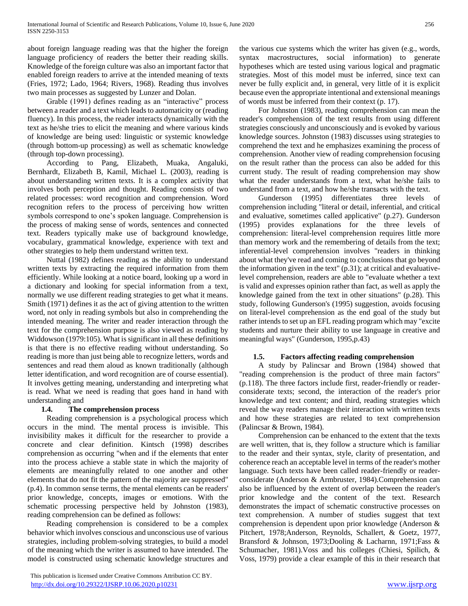about foreign language reading was that the higher the foreign language proficiency of readers the better their reading skills. Knowledge of the foreign culture was also an important factor that enabled foreign readers to arrive at the intended meaning of texts (Fries, 1972; Lado, 1964; Rivers, 1968). Reading thus involves two main processes as suggested by Lunzer and Dolan.

 Grable (1991) defines reading as an "interactive" process between a reader and a text which leads to automaticity or (reading fluency). In this process, the reader interacts dynamically with the text as he/she tries to elicit the meaning and where various kinds of knowledge are being used: linguistic or systemic knowledge (through bottom-up processing) as well as schematic knowledge (through top-down processing).

 According to Pang, Elizabeth, Muaka, Angaluki, Bernhardt, Elizabeth B, Kamil, Michael L. (2003), reading is about understanding written texts. It is a complex activity that involves both perception and thought. Reading consists of two related processes: word recognition and comprehension. Word recognition refers to the process of perceiving how written symbols correspond to one's spoken language. Comprehension is the process of making sense of words, sentences and connected text. Readers typically make use of background knowledge, vocabulary, grammatical knowledge, experience with text and other strategies to help them understand written text.

 Nuttal (1982) defines reading as the ability to understand written texts by extracting the required information from them efficiently. While looking at a notice board, looking up a word in a dictionary and looking for special information from a text, normally we use different reading strategies to get what it means. Smith (1971) defines it as the act of giving attention to the written word, not only in reading symbols but also in comprehending the intended meaning. The writer and reader interaction through the text for the comprehension purpose is also viewed as reading by Widdowson (1979:105). What is significant in all these definitions is that there is no effective reading without understanding. So reading is more than just being able to recognize letters, words and sentences and read them aloud as known traditionally (although letter identification, and word recognition are of course essential). It involves getting meaning, understanding and interpreting what is read. What we need is reading that goes hand in hand with understanding and

# **1.4. The comprehension process**

 Reading comprehension is a psychological process which occurs in the mind. The mental process is invisible. This invisibility makes it difficult for the researcher to provide a concrete and clear definition. Kintsch (1998) describes comprehension as occurring "when and if the elements that enter into the process achieve a stable state in which the majority of elements are meaningfully related to one another and other elements that do not fit the pattern of the majority are suppressed" (p.4). In common sense terms, the mental elements can be readers' prior knowledge, concepts, images or emotions. With the schematic processing perspective held by Johnston (1983), reading comprehension can be defined as follows:

 Reading comprehension is considered to be a complex behavior which involves conscious and unconscious use of various strategies, including problem-solving strategies, to build a model of the meaning which the writer is assumed to have intended. The model is constructed using schematic knowledge structures and

 This publication is licensed under Creative Commons Attribution CC BY. <http://dx.doi.org/10.29322/IJSRP.10.06.2020.p10231> [www.ijsrp.org](http://ijsrp.org/)

the various cue systems which the writer has given (e.g., words, syntax macrostructures, social information) to generate hypotheses which are tested using various logical and pragmatic strategies. Most of this model must be inferred, since text can never be fully explicit and, in general, very little of it is explicit because even the appropriate intentional and extensional meanings of words must be inferred from their context (p. 17).

 For Johnston (1983), reading comprehension can mean the reader's comprehension of the text results from using different strategies consciously and unconsciously and is evoked by various knowledge sources. Johnston (1983) discusses using strategies to comprehend the text and he emphasizes examining the process of comprehension. Another view of reading comprehension focusing on the result rather than the process can also be added for this current study. The result of reading comprehension may show what the reader understands from a text, what he/she fails to understand from a text, and how he/she transacts with the text.

 Gunderson (1995) differentiates three levels of comprehension including "literal or detail, inferential, and critical and evaluative, sometimes called applicative" (p.27). Gunderson (1995) provides explanations for the three levels of comprehension: literal-level comprehension requires little more than memory work and the remembering of details from the text; inferential-level comprehension involves "readers in thinking about what they've read and coming to conclusions that go beyond the information given in the text" (p.31); at critical and evaluativelevel comprehension, readers are able to "evaluate whether a text is valid and expresses opinion rather than fact, as well as apply the knowledge gained from the text in other situations" (p.28). This study, following Gunderson's (1995) suggestion, avoids focusing on literal-level comprehension as the end goal of the study but rather intends to set up an EFL reading program which may "excite students and nurture their ability to use language in creative and meaningful ways" (Gunderson, 1995,p.43)

# **1.5. Factors affecting reading comprehension**

 A study by Palincsar and Brown (1984) showed that "reading comprehension is the product of three main factors" (p.118). The three factors include first, reader-friendly or readerconsiderate texts; second, the interaction of the reader's prior knowledge and text content; and third, reading strategies which reveal the way readers manage their interaction with written texts and how these strategies are related to text comprehension (Palincsar & Brown, 1984).

 Comprehension can be enhanced to the extent that the texts are well written, that is, they follow a structure which is familiar to the reader and their syntax, style, clarity of presentation, and coherence reach an acceptable level in terms of the reader's mother language. Such texts have been called reader-friendly or readerconsiderate (Anderson & Armbruster, 1984).Comprehension can also be influenced by the extent of overlap between the reader's prior knowledge and the content of the text. Research demonstrates the impact of schematic constructive processes on text comprehension. A number of studies suggest that text comprehension is dependent upon prior knowledge (Anderson & Pitchert, 1978;Anderson, Reynolds, Schallert, & Goetz, 1977, Bransford & Johnson, 1973;Dooling & Lacharnn, 1971;Fass & Schumacher, 1981).Voss and his colleges (Chiesi, Spilich, & Voss, 1979) provide a clear example of this in their research that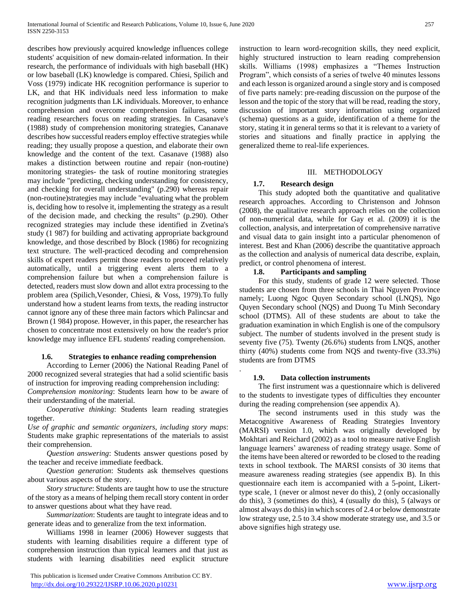describes how previously acquired knowledge influences college students' acquisition of new domain-related information. In their research, the performance of individuals with high baseball (HK) or low baseball (LK) knowledge is compared. Chiesi, Spilich and Voss (1979) indicate HK recognition performance is superior to LK, and that HK individuals need less information to make recognition judgments than LK individuals. Moreover, to enhance comprehension and overcome comprehension failures, some reading researchers focus on reading strategies. In Casanave's (1988) study of comprehension monitoring strategies, Cananave describes how successful readers employ effective strategies while reading; they usually propose a question, and elaborate their own knowledge and the content of the text. Casanave (1988) also makes a distinction between routine and repair (non-routine) monitoring strategies- the task of routine monitoring strategies may include "predicting, checking understanding for consistency, and checking for overall understanding" (p.290) whereas repair (non-routine)strategies may include "evaluating what the problem is, deciding how to resolve it, implementing the strategy as a result of the decision made, and checking the results" (p.290). Other recognized strategies may include these identified in Zvetina's study (1 987) for building and activating appropriate background knowledge, and those described by Block (1986) for recognizing text structure. The well-practiced decoding and comprehension skills of expert readers permit those readers to proceed relatively automatically, until a triggering event alerts them to a comprehension failure but when a comprehension failure is detected, readers must slow down and allot extra processing to the problem area (Spilich,Vesonder, Chiesi, & Voss, 1979).To fully understand how a student learns from texts, the reading instructor cannot ignore any of these three main factors which Palincsar and Brown (1 984) propose. However, in this paper, the researcher has chosen to concentrate most extensively on how the reader's prior knowledge may influence EFL students' reading comprehension.

#### **1.6. Strategies to enhance reading comprehension**

 According to Lerner (2006) the National Reading Panel of 2000 recognized several strategies that had a solid scientific basis of instruction for improving reading comprehension including: *Comprehension monitoring*: Students learn how to be aware of their understanding of the material.

 *Cooperative thinking*: Students learn reading strategies together.

*Use of graphic and semantic organizers, including story maps*: Students make graphic representations of the materials to assist their comprehension.

 *Question answering*: Students answer questions posed by the teacher and receive immediate feedback.

 *Question generation*: Students ask themselves questions about various aspects of the story.

 *Story structure*: Students are taught how to use the structure of the story as a means of helping them recall story content in order to answer questions about what they have read.

 *Summarization*: Students are taught to integrate ideas and to generate ideas and to generalize from the text information.

 Williams 1998 in learner (2006) However suggests that students with learning disabilities require a different type of comprehension instruction than typical learners and that just as students with learning disabilities need explicit structure

 This publication is licensed under Creative Commons Attribution CC BY. <http://dx.doi.org/10.29322/IJSRP.10.06.2020.p10231> [www.ijsrp.org](http://ijsrp.org/)

instruction to learn word-recognition skills, they need explicit, highly structured instruction to learn reading comprehension skills. Williams (1998) emphasizes a "Themes Instruction Program", which consists of a series of twelve 40 minutes lessons and each lesson is organized around a single story and is composed of five parts namely: pre-reading discussion on the purpose of the lesson and the topic of the story that will be read, reading the story, discussion of important story information using organized (schema) questions as a guide, identification of a theme for the story, stating it in general terms so that it is relevant to a variety of stories and situations and finally practice in applying the generalized theme to real-life experiences.

#### III. METHODOLOGY

#### **1.7. Research design**

 This study adopted both the quantitative and qualitative research approaches. According to Christenson and Johnson (2008), the qualitative research approach relies on the collection of non-numerical data, while for Gay et al. (2009) it is the collection, analysis, and interpretation of comprehensive narrative and visual data to gain insight into a particular phenomenon of interest. Best and Khan (2006) describe the quantitative approach as the collection and analysis of numerical data describe, explain, predict, or control phenomena of interest.

#### **1.8. Participants and sampling**

 For this study, students of grade 12 were selected. Those students are chosen from three schools in Thai Nguyen Province namely; Luong Ngoc Quyen Secondary school (LNQS), Ngo Quyen Secondary school (NQS) and Duong Tu Minh Secondary school (DTMS). All of these students are about to take the graduation examination in which English is one of the compulsory subject. The number of students involved in the present study is seventy five (75). Twenty (26.6%) students from LNQS, another thirty (40%) students come from NQS and twenty-five (33.3%) students are from DTMS

#### **1.9. Data collection instruments**

.

 The first instrument was a questionnaire which is delivered to the students to investigate types of difficulties they encounter during the reading comprehension (see appendix A).

 The second instruments used in this study was the Metacognitive Awareness of Reading Strategies Inventory (MARSI) version 1.0, which was originally developed by Mokhtari and Reichard (2002) as a tool to measure native English language learners' awareness of reading strategy usage. Some of the items have been altered or reworded to be closed to the reading texts in school textbook. The MARSI consists of 30 items that measure awareness reading strategies (see appendix B). In this questionnaire each item is accompanied with a 5-point, Likerttype scale, 1 (never or almost never do this), 2 (only occasionally do this), 3 (sometimes do this), 4 (usually do this), 5 (always or almost always do this) in which scores of 2.4 or below demonstrate low strategy use, 2.5 to 3.4 show moderate strategy use, and 3.5 or above signifies high strategy use.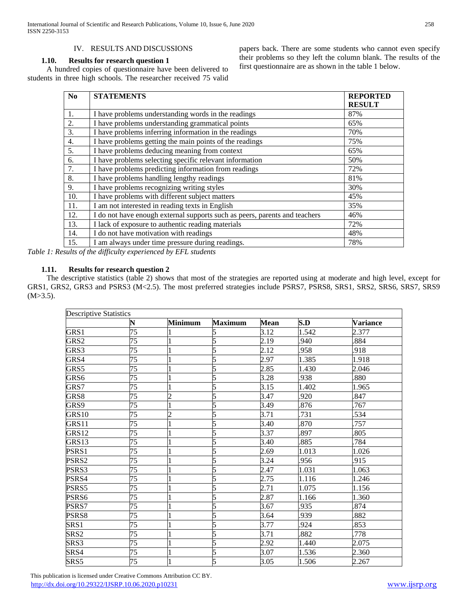# IV. RESULTS AND DISCUSSIONS

#### **1.10. Results for research question 1**

 A hundred copies of questionnaire have been delivered to students in three high schools. The researcher received 75 valid papers back. There are some students who cannot even specify their problems so they left the column blank. The results of the first questionnaire are as shown in the table 1 below.

| No  | <b>STATEMENTS</b>                                                          | <b>REPORTED</b> |
|-----|----------------------------------------------------------------------------|-----------------|
|     |                                                                            | <b>RESULT</b>   |
| 1.  | I have problems understanding words in the readings                        | 87%             |
| 2.  | I have problems understanding grammatical points                           | 65%             |
| 3.  | I have problems inferring information in the readings                      | 70%             |
| 4.  | I have problems getting the main points of the readings                    | 75%             |
| 5.  | I have problems deducing meaning from context                              | 65%             |
| 6.  | I have problems selecting specific relevant information                    | 50%             |
| 7.  | I have problems predicting information from readings                       | 72%             |
| 8.  | I have problems handling lengthy readings                                  | 81%             |
| 9.  | I have problems recognizing writing styles                                 | 30%             |
| 10. | I have problems with different subject matters                             | 45%             |
| 11. | I am not interested in reading texts in English                            | 35%             |
| 12. | I do not have enough external supports such as peers, parents and teachers | 46%             |
| 13. | I lack of exposure to authentic reading materials                          | 72%             |
| 14. | I do not have motivation with readings                                     | 48%             |
| 15. | I am always under time pressure during readings.                           | 78%             |

*Table 1: Results of the difficulty experienced by EFL students*

# **1.11. Results for research question 2**

 The descriptive statistics (table 2) shows that most of the strategies are reported using at moderate and high level, except for GRS1, GRS2, GRS3 and PSRS3 (M<2.5). The most preferred strategies include PSRS7, PSRS8, SRS1, SRS2, SRS6, SRS7, SRS9  $(M>3.5)$ .

| <b>Descriptive Statistics</b> | N               | Minimum | <b>Maximum</b> | <b>Mean</b> | S.D   | <b>Variance</b> |
|-------------------------------|-----------------|---------|----------------|-------------|-------|-----------------|
| GRS1                          | $\overline{75}$ |         |                | 3.12        | 1.542 | 2.377           |
| GRS2                          | 75              |         |                | 2.19        | .940  | .884            |
| GRS3                          | 75              |         |                | 2.12        | .958  | .918            |
|                               |                 |         | 5              |             |       |                 |
| GRS4                          | 75              |         |                | 2.97        | 1.385 | 1.918           |
| GRS5                          | 75              |         | 5              | 2.85        | 1.430 | 2.046           |
| GRS6                          | 75              |         |                | 3.28        | .938  | .880            |
| GRS7                          | 75              |         |                | 3.15        | 1.402 | 1.965           |
| GRS8                          | 75              |         |                | 3.47        | 920   | .847            |
| GRS9                          | 75              |         |                | 3.49        | 876   | .767            |
| <b>GRS10</b>                  | 75              |         | 5              | 3.71        | 731   | 534             |
| GRS11                         | 75              |         | 5              | 3.40        | 870   | .757            |
| GRS12                         | $\overline{75}$ |         |                | 3.37        | .897  | .805            |
| GRS13                         | 75              |         |                | 3.40        | 885   | 784             |
| PSRS1                         | 75              |         | 5              | 2.69        | 1.013 | 1.026           |
| PSRS2                         | $\overline{75}$ |         | 5              | 3.24        | .956  | .915            |
| PSRS3                         | 75              |         | 5              | 2.47        | 1.031 | 1.063           |
| PSRS4                         | 75              |         |                | 2.75        | 1.116 | 1.246           |
| PSRS5                         | 75              |         |                | 2.71        | 1.075 | 1.156           |
| PSRS6                         | 75              |         | 5              | 2.87        | 1.166 | 1.360           |
| PSRS7                         | 75              |         | 5              | 3.67        | .935  | .874            |
| PSRS8                         | 75              |         | 5              | 3.64        | 939   | .882            |
| SRS <sub>1</sub>              | 75              |         |                | 3.77        | .924  | .853            |
| SRS <sub>2</sub>              | 75              |         |                | 3.71        | .882  | .778            |
| SRS3                          | 75              |         |                | 2.92        | 1.440 | 2.075           |
| SRS4                          | 75              |         | 5              | 3.07        | 1.536 | 2.360           |
| SRS5                          | 75              |         | 5              | 3.05        | 1.506 | 2.267           |
|                               |                 |         |                |             |       |                 |

 This publication is licensed under Creative Commons Attribution CC BY. <http://dx.doi.org/10.29322/IJSRP.10.06.2020.p10231> [www.ijsrp.org](http://ijsrp.org/)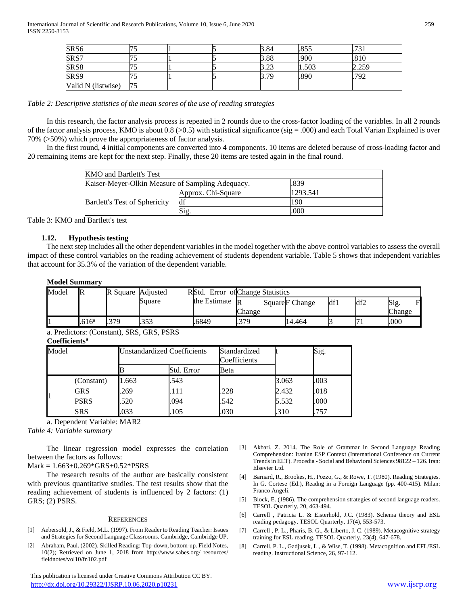| SRS <sub>6</sub>   |     |  | 3.84             | .855  | $72^{\circ}$ |
|--------------------|-----|--|------------------|-------|--------------|
| SRS7               |     |  | 3.88             | .900  | 1.810        |
| SRS <sub>8</sub>   |     |  | $\cap$<br>ت که ب | 1.503 | 2.259        |
| SRS9               |     |  | 70               | .890  | .792         |
| Valid N (listwise) | 175 |  |                  |       |              |

#### *Table 2: Descriptive statistics of the mean scores of the use of reading strategies*

 In this research, the factor analysis process is repeated in 2 rounds due to the cross-factor loading of the variables. In all 2 rounds of the factor analysis process, KMO is about 0.8 ( $>0.5$ ) with statistical significance (sig = .000) and each Total Varian Explained is over 70% (>50%) which prove the appropriateness of factor analysis.

 In the first round, 4 initial components are converted into 4 components. 10 items are deleted because of cross-loading factor and 20 remaining items are kept for the next step. Finally, these 20 items are tested again in the final round.

| <b>KMO</b> and Bartlett's Test                   |                    |          |  |  |  |
|--------------------------------------------------|--------------------|----------|--|--|--|
| Kaiser-Meyer-Olkin Measure of Sampling Adequacy. | .839               |          |  |  |  |
|                                                  | Approx. Chi-Square | 1293.541 |  |  |  |
| <b>Bartlett's Test of Sphericity</b>             | df                 | 190      |  |  |  |
|                                                  | Sig                | .000     |  |  |  |

Table 3: KMO and Bartlett's test

# **1.12. Hypothesis testing**

 The next step includes all the other dependent variables in the model together with the above control variables to assess the overall impact of these control variables on the reading achievement of students dependent variable. Table 5 shows that independent variables that account for 35.3% of the variation of the dependent variable.

#### **Model Summary**

| Change<br>Change<br>.379<br>379<br>.000<br>.616 <sup>a</sup><br>.6849<br>.353<br>14.464 | Model | IR | R Square Adjusted | Square | RIStd.<br>the Estimate | . Error of Change Statistics<br>$\mathbb{R}$ | Square F Change | df1 | df2 | Sig.<br>R |
|-----------------------------------------------------------------------------------------|-------|----|-------------------|--------|------------------------|----------------------------------------------|-----------------|-----|-----|-----------|
|                                                                                         |       |    |                   |        |                        |                                              |                 |     |     |           |

a. Predictors: (Constant), SRS, GRS, PSRS

#### **Coefficients<sup>a</sup>** Model Unstandardized Coefficients Standardized Coefficients Sig. Std. Error Beta 1 (Constant) 1.663 .543 .003 .003 GRS .269 .111 .228 2.432 .018 PSRS .520 .094 .542 .5532 .000 SRS .033 .105 .030 .310 .757

a. Dependent Variable: MAR2

*Table 4: Variable summary*

 The linear regression model expresses the correlation between the factors as follows:

Mark = 1.663+0.269\*GRS+0.52\*PSRS

 The research results of the author are basically consistent with previous quantitative studies. The test results show that the reading achievement of students is influenced by 2 factors: (1) GRS; (2) PSRS.

#### **REFERENCES**

- [1] Aebersold, J., & Field, M.L. (1997). From Reader to Reading Teacher: Issues and Strategies for Second Language Classrooms. Cambridge, Cambridge UP.
- [2] Abraham, Paul. (2002). Skilled Reading: Top-down, bottom-up. Field Notes, 10(2); Retrieved on June 1, 2018 from http://www.sabes.org/ resources/ fieldnotes/vol10/fn102.pdf

 This publication is licensed under Creative Commons Attribution CC BY. <http://dx.doi.org/10.29322/IJSRP.10.06.2020.p10231> [www.ijsrp.org](http://ijsrp.org/)

- [3] Akbari, Z. 2014. The Role of Grammar in Second Language Reading Comprehension: Iranian ESP Context (International Conference on Current Trends in ELT). Procedia - Social and Behavioral Sciences 98122 – 126. Iran: Elsevier Ltd.
- [4] Barnard, R., Brookes, H., Pozzo, G., & Rowe, T. (1980). Reading Strategies. In G. Cortese (Ed.), Readng in a Foreign Language (pp. 400-415). Milan: Franco Angeli.
- [5] Block, E. (1986). The comprehension strategies of second language readers. TESOL Quarterly, 20, 463-494.
- [6] Carrell , Patricia L. & Eisterhold, J.C. (1983). Schema theory and ESL reading pedagogy. TESOL Quarterly, 17(4), 553-573.
- [7] Carrell , P. L., Pharis, B. G., & Liberto, J. C. (1989). Metacognitive strategy training for ESL reading. TESOL Quarterly, 23(4), 647-678.
- [8] Carrell, P. L., Gadjusek, L., & Wise, T. (1998). Metacognition and EFL/ESL reading. Instructional Science, 26, 97-112.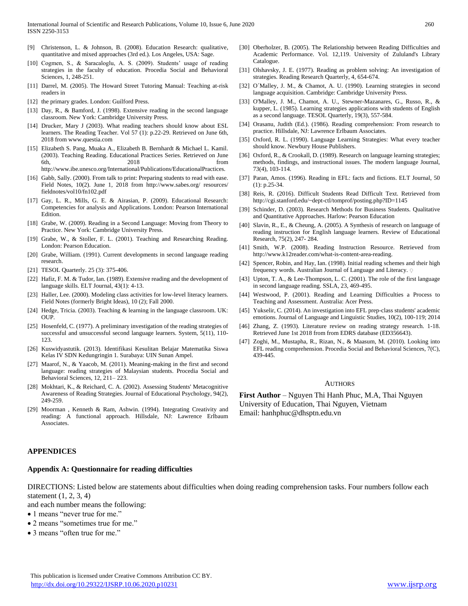- [9] Christenson, L. & Johnson, B. (2008). Education Research: qualitative, quantitative and mixed approaches (3rd ed.). Los Angeles, USA: Sage.
- [10] Cogmen, S., & Saracaloglu, A. S. (2009). Students' usage of reading strategies in the faculty of education. Procedia Social and Behavioral Sciences, 1, 248-251.
- [11] Darrel, M. (2005). The Howard Street Tutoring Manual: Teaching at-risk readers in
- [12] the primary grades. London: Guilford Press.
- [13] Day, R., & Bamford, J. (1998). Extensive reading in the second language classroom. New York: Cambridge University Press.
- [14] Drucker, Mary J (2003). What reading teachers should know about ESL learners. The Reading Teacher. Vol 57 (1): p.22-29. Retrieved on June 6th, 2018 from www.questia.com
- [15] Elizabeth S. Pang, Muaka A., Elizabeth B. Bernhardt & Michael L. Kamil. (2003). Teaching Reading. Educational Practices Series. Retrieved on June 6th, 2018 from http://www.ibe.unesco.org/International/Publications/EducationalPractices.
- [16] Gabb, Sally. (2000). From talk to print: Preparing students to read with ease. Field Notes, 10(2). June 1, 2018 from http://www.sabes.org/ resources/ fieldnotes/vol10/fn102.pdf
- [17] Gay, L. R., Mills, G. E. & Airasian, P. (2009). Educational Research: Competencies for analysis and Applications. London: Pearson International Edition.
- [18] Grabe, W. (2009). Reading in a Second Language: Moving from Theory to Practice. New York: Cambridge University Press.
- [19] Grabe, W., & Stoller, F. L. (2001). Teaching and Researching Reading. London: Pearson Education.
- [20] Grabe, William. (1991). Current developments in second language reading research.
- [21] TESOL Quarterly. 25 (3): 375-406.
- [22] Hafiz, F. M. & Tudor, Ian. (1989). Extensive reading and the development of language skills. ELT Journal, 43(1): 4-13.
- [23] Haller, Lee. (2000). Modeling class activities for low-level literacy learners. Field Notes (formerly Bright Ideas), 10 (2); Fall 2000.
- [24] Hedge, Tricia. (2003). Teaching & learning in the language classroom. UK: OUP.
- [25] Hosenfeld, C. (1977). A preliminary investigation of the reading strategies of successful and unsuccessful second language learners. System, 5(11), 110- 123.
- [26] Kuswidyastutik. (2013). Identifikasi Kesulitan Belajar Matematika Siswa Kelas IV SDN Kedungringin 1. Surabaya: UIN Sunan Ampel.
- [27] Maarof, N., & Yaacob, M. (2011). Meaning-making in the first and second language: reading strategies of Malaysian students. Procedia Social and Behavioral Sciences, 12, 211– 223.
- [28] Mokhtari, K., & Reichard, C. A. (2002). Assessing Students' Metacognitive Awareness of Reading Strategies. Journal of Educational Psychology, 94(2), 249-259.
- [29] Moorman , Kenneth & Ram, Ashwin. (1994). Integrating Creativity and reading: A functional approach. Hillsdale, NJ: Lawrence Erlbaum Associates.

# **APPENDICES**

# **Appendix A: Questionnaire for reading difficulties**

DIRECTIONS: Listed below are statements about difficulties when doing reading comprehension tasks. Four numbers follow each statement (1, 2, 3, 4)

and each number means the following:

- 1 means "never true for me."
- 2 means "sometimes true for me."
- 3 means "often true for me."
- [30] Oberholzer, B. (2005). The Relationship between Reading Difficulties and Academic Performance. Vol. 12,119. University of Zululand's Library Catalogue.
- [31] Olshavsky, J. E. (1977). Reading as problem solving: An investigation of strategies. Reading Research Quarterly, 4, 654-674.
- [32] O´Malley, J. M., & Chamot, A. U. (1990). Learning strategies in second language acquisition. Cambridge: Cambridge University Press.
- [33] O'Malley, J. M., Chamot, A. U., Stewner-Mazanares, G., Russo, R., & kupper, L. (1985). Learning strategies applications with students of English as a second language. TESOL Quarterly, 19(3), 557-584.
- [34] Orasanu, Judith (Ed.). (1986). Reading comprehension: From research to practice. Hillsdale, NJ: Lawrence Erlbaum Associates.
- [35] Oxford, R. L. (1990). Language Learning Strategies: What every teacher should know. Newbury House Publishers.
- [36] Oxford, R., & Crookall, D. (1989). Research on language learning strategies; methods, findings, and instructional issues. The modern language Journal, 73(4), 103-114.
- [37] Paran, Amos. (1996). Reading in EFL: facts and fictions. ELT Journal, 50 (1): p.25-34.
- [38] Reis, R. (2016). Difficult Students Read Difficult Text. Retrieved from http://cgi.stanford.edu/~dept-ctl/tomprof/posting.php?ID=1145
- [39] Schinder, D. (2003). Research Methods for Business Students. Qualitative and Quantitative Approaches. Harlow: Pearson Education
- [40] Slavin, R., E., & Cheung, A. (2005). A Synthesis of research on language of reading instruction for English language learners. Review of Educational Research, 75(2), 247- 284.
- [41] Smith, W.P. (2008). Reading Instruction Resource. Retrieved from http://www.k12reader.com/what-is-content-area-reading.
- [42] Spencer, Robin, and Hay, Ian. (1998). Initial reading schemes and their high frequency words. Australian Journal of Language and Literacy.  $\circ$
- [43] Upton, T. A., & Lee-Thompson, L. C. (2001). The role of the first language in second language reading. SSLA, 23, 469-495.
- [44] Westwood, P. (2001). Reading and Learning Difficulties a Process to Teaching and Assessment. Australia: Acer Press.
- [45] Yukselir, C. (2014). An investigation into EFL prep-class students' academic emotions. Journal of Language and Linguistic Studies, 10(2), 100-119; 2014
- [46] Zhang, Z. (1993). Literature review on reading strategy research. 1-18. Retrieved June 1st 2018 from from EDRS database (ED356643).
- [47] Zoghi, M., Mustapha, R., Rizan, N., & Maasum, M. (2010). Looking into EFL reading comprehension. Procedia Social and Behavioral Sciences, 7(C), 439-445.

#### **AUTHORS**

**First Author** – Nguyen Thi Hanh Phuc, M.A, Thai Nguyen University of Education, Thai Nguyen, Vietnam Email: hanhphuc@dhsptn.edu.vn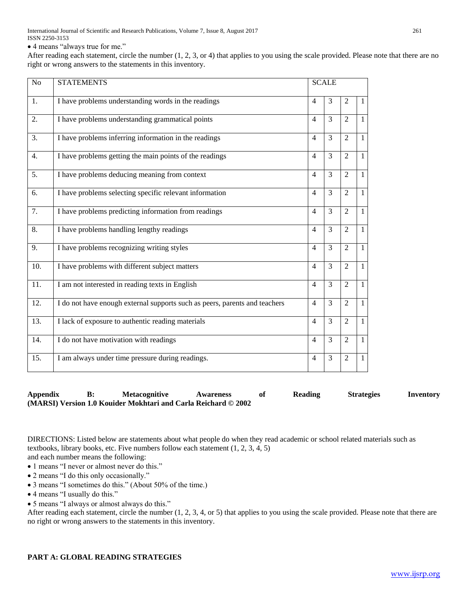International Journal of Scientific and Research Publications, Volume 7, Issue 8, August 2017 261 ISSN 2250-3153

4 means "always true for me."

After reading each statement, circle the number (1, 2, 3, or 4) that applies to you using the scale provided. Please note that there are no right or wrong answers to the statements in this inventory.

| N <sub>o</sub> | <b>STATEMENTS</b>                                                          |                | <b>SCALE</b>   |                |                |
|----------------|----------------------------------------------------------------------------|----------------|----------------|----------------|----------------|
| 1.             | I have problems understanding words in the readings                        | $\overline{4}$ | 3              | $\overline{2}$ | $\mathbf{1}$   |
| 2.             | I have problems understanding grammatical points                           | $\overline{4}$ | $\overline{3}$ | $\overline{2}$ | $\mathbf{1}$   |
| 3.             | I have problems inferring information in the readings                      | $\overline{4}$ | 3              | $\overline{2}$ | $\overline{1}$ |
| 4.             | I have problems getting the main points of the readings                    | $\overline{4}$ | $\overline{3}$ | $\overline{2}$ | $\overline{1}$ |
| 5.             | I have problems deducing meaning from context                              | $\overline{4}$ | $\overline{3}$ | $\overline{2}$ | $\mathbf{1}$   |
| 6.             | I have problems selecting specific relevant information                    | $\overline{4}$ | 3              | $\overline{2}$ | $\mathbf{1}$   |
| 7.             | I have problems predicting information from readings                       | $\overline{4}$ | $\overline{3}$ | $\overline{2}$ | $\overline{1}$ |
| 8.             | I have problems handling lengthy readings                                  | $\overline{4}$ | 3              | $\overline{2}$ | $\mathbf{1}$   |
| 9.             | I have problems recognizing writing styles                                 | $\overline{4}$ | $\overline{3}$ | $\overline{2}$ | $\mathbf{1}$   |
| 10.            | I have problems with different subject matters                             | $\overline{4}$ | 3              | $\overline{2}$ | $\overline{1}$ |
| 11.            | I am not interested in reading texts in English                            | $\overline{4}$ | 3              | $\overline{2}$ | $\mathbf{1}$   |
| 12.            | I do not have enough external supports such as peers, parents and teachers | $\overline{4}$ | 3              | $\overline{2}$ | $\overline{1}$ |
| 13.            | I lack of exposure to authentic reading materials                          | $\overline{4}$ | 3              | $\overline{2}$ | $\mathbf{1}$   |
| 14.            | I do not have motivation with readings                                     | $\overline{4}$ | 3              | $\overline{2}$ | $\overline{1}$ |
| 15.            | I am always under time pressure during readings.                           | $\overline{4}$ | 3              | $\overline{2}$ | $\mathbf{1}$   |

# **Appendix B: Metacognitive Awareness of Reading Strategies Inventory (MARSI) Version 1.0 Kouider Mokhtari and Carla Reichard © 2002**

DIRECTIONS: Listed below are statements about what people do when they read academic or school related materials such as textbooks, library books, etc. Five numbers follow each statement (1, 2, 3, 4, 5) and each number means the following:

- 1 means "I never or almost never do this."
- 2 means "I do this only occasionally."
- 3 means "I sometimes do this." (About 50% of the time.)
- 4 means "I usually do this."
- 5 means "I always or almost always do this."

After reading each statement, circle the number (1, 2, 3, 4, or 5) that applies to you using the scale provided. Please note that there are no right or wrong answers to the statements in this inventory.

# **PART A: GLOBAL READING STRATEGIES**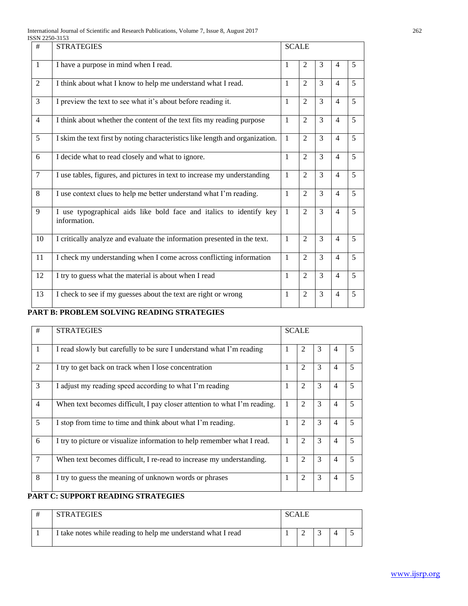| International Journal of Scientific and Research Publications, Volume 7, Issue 8, August 2017 | 262 |
|-----------------------------------------------------------------------------------------------|-----|
| ISSN 2250-3153                                                                                |     |

| <b>JJIN 22JU-JIJJ</b> |                                                                                     |              |                        |               |                |                |
|-----------------------|-------------------------------------------------------------------------------------|--------------|------------------------|---------------|----------------|----------------|
| #                     | <b>STRATEGIES</b>                                                                   | <b>SCALE</b> |                        |               |                |                |
| $\mathbf{1}$          | I have a purpose in mind when I read.                                               | 1            | 2                      | 3             | $\overline{4}$ | 5              |
| 2                     | I think about what I know to help me understand what I read.                        | 1            | $\mathfrak{D}$         | 3             | $\overline{4}$ | 5              |
| 3                     | I preview the text to see what it's about before reading it.                        | 1            | 2                      | 3             | $\overline{4}$ | 5              |
| $\overline{4}$        | I think about whether the content of the text fits my reading purpose               | 1            | $\mathfrak{D}$         | 3             | $\overline{4}$ | 5              |
| 5                     | I skim the text first by noting characteristics like length and organization.       | $\mathbf{1}$ | $\mathfrak{D}$         | 3             | $\overline{4}$ | 5              |
| 6                     | I decide what to read closely and what to ignore.                                   | $\mathbf{1}$ | $\mathfrak{D}$         | 3             | $\overline{4}$ | 5              |
| $\overline{7}$        | I use tables, figures, and pictures in text to increase my understanding            | $\mathbf{1}$ | $\overline{2}$         | $\mathcal{F}$ | $\overline{4}$ | 5              |
| 8                     | I use context clues to help me better understand what I'm reading.                  | $\mathbf{1}$ | $\mathfrak{D}$         | 3             | $\overline{4}$ | 5              |
| 9                     | I use typographical aids like bold face and italics to identify key<br>information. | $\mathbf{1}$ | $\overline{2}$         | 3             | $\overline{4}$ | $\overline{5}$ |
| 10                    | I critically analyze and evaluate the information presented in the text.            | $\mathbf{1}$ | $\mathcal{D}_{\alpha}$ | 3             | $\overline{4}$ | 5              |
| 11                    | I check my understanding when I come across conflicting information                 | $\mathbf{1}$ | $\mathfrak{D}$         | 3             | $\overline{4}$ | 5              |
| 12                    | I try to guess what the material is about when I read                               | $\mathbf{1}$ | $\overline{2}$         | 3             | $\overline{4}$ | 5              |
| 13                    | I check to see if my guesses about the text are right or wrong                      | 1            | $\overline{2}$         | 3             | $\overline{4}$ | 5              |

# **PART B: PROBLEM SOLVING READING STRATEGIES**

| #              | <b>STRATEGIES</b>                                                        |              | <b>SCALE</b>   |   |   |                          |
|----------------|--------------------------------------------------------------------------|--------------|----------------|---|---|--------------------------|
| $\mathbf{1}$   | I read slowly but carefully to be sure I understand what I'm reading     |              | $\mathfrak{D}$ | 3 |   | $\overline{\phantom{0}}$ |
| 2              | I try to get back on track when I lose concentration                     |              | 2              | 3 | 4 | 5                        |
| 3              | I adjust my reading speed according to what I'm reading                  | 1            | $\overline{2}$ | 3 | 4 | $\overline{\phantom{0}}$ |
| $\overline{4}$ | When text becomes difficult, I pay closer attention to what I'm reading. | $\mathbf{1}$ | $\overline{2}$ | 3 | 4 | 5                        |
| 5              | I stop from time to time and think about what I'm reading.               |              | $\overline{2}$ | 3 | 4 | 5                        |
| 6              | I try to picture or visualize information to help remember what I read.  | $\mathbf{1}$ | 2              | 3 | 4 | $\overline{\phantom{0}}$ |
| 7              | When text becomes difficult, I re-read to increase my understanding.     | 1            | $\mathfrak{D}$ | 3 | 4 | $\overline{5}$           |
| 8              | I try to guess the meaning of unknown words or phrases                   | 1            | $\mathfrak{D}$ | 3 | 4 | $\overline{\phantom{0}}$ |

# **PART C: SUPPORT READING STRATEGIES**

| # | <b>STRATEGIES</b>                                            | <b>SCALE</b> |  |  |  |  |
|---|--------------------------------------------------------------|--------------|--|--|--|--|
|   | I take notes while reading to help me understand what I read |              |  |  |  |  |